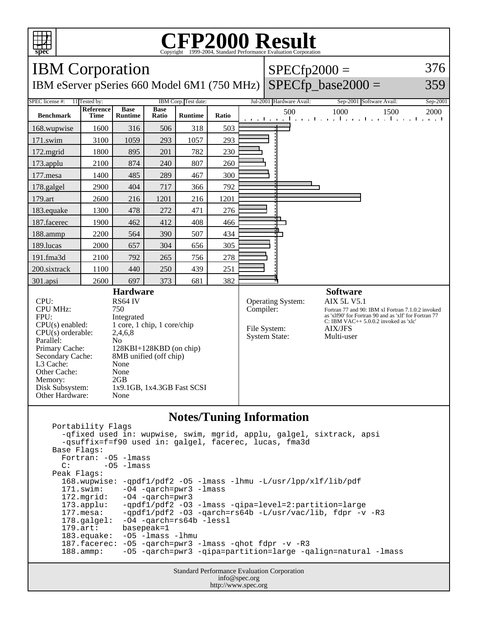

## Copyright ©1999-2004, Standard Performance Evaluation Corporation

| <b>IBM</b> Corporation                                                                                                                                                                                                                                            |                          |                               |                                                                                                                                                            |                |       |  | $SPECfp2000 =$                                                                |                          | 376                                                                     |                                                     |                                                                                                                                                       |          |
|-------------------------------------------------------------------------------------------------------------------------------------------------------------------------------------------------------------------------------------------------------------------|--------------------------|-------------------------------|------------------------------------------------------------------------------------------------------------------------------------------------------------|----------------|-------|--|-------------------------------------------------------------------------------|--------------------------|-------------------------------------------------------------------------|-----------------------------------------------------|-------------------------------------------------------------------------------------------------------------------------------------------------------|----------|
| IBM eServer pSeries 660 Model 6M1 (750 MHz)                                                                                                                                                                                                                       |                          |                               |                                                                                                                                                            |                |       |  |                                                                               | $SPECfp$ base2000 =      |                                                                         |                                                     | 359                                                                                                                                                   |          |
| SPEC license #:<br>11 Tested by:<br>IBM Corp. Test date:                                                                                                                                                                                                          |                          |                               |                                                                                                                                                            |                |       |  |                                                                               | Jul-2001 Hardware Avail: |                                                                         | Sep-2001 Software Avail:                            |                                                                                                                                                       | Sep-2001 |
| <b>Benchmark</b>                                                                                                                                                                                                                                                  | Reference<br><b>Time</b> | <b>Base</b><br><b>Runtime</b> | <b>Base</b><br>Ratio                                                                                                                                       | <b>Runtime</b> | Ratio |  |                                                                               | 500                      | 1000<br>and the main beam of the main beam of the main beam of the main |                                                     | 1500                                                                                                                                                  | 2000     |
| 168.wupwise                                                                                                                                                                                                                                                       | 1600                     | 316                           | 506                                                                                                                                                        | 318            | 503   |  |                                                                               |                          |                                                                         |                                                     |                                                                                                                                                       |          |
| 171.swim                                                                                                                                                                                                                                                          | 3100                     | 1059                          | 293                                                                                                                                                        | 1057           | 293   |  |                                                                               |                          |                                                                         |                                                     |                                                                                                                                                       |          |
| 172.mgrid                                                                                                                                                                                                                                                         | 1800                     | 895                           | 201                                                                                                                                                        | 782            | 230   |  |                                                                               |                          |                                                                         |                                                     |                                                                                                                                                       |          |
| 173.applu                                                                                                                                                                                                                                                         | 2100                     | 874                           | 240                                                                                                                                                        | 807            | 260   |  |                                                                               |                          |                                                                         |                                                     |                                                                                                                                                       |          |
| 177.mesa                                                                                                                                                                                                                                                          | 1400                     | 485                           | 289                                                                                                                                                        | 467            | 300   |  |                                                                               |                          |                                                                         |                                                     |                                                                                                                                                       |          |
| 178.galgel                                                                                                                                                                                                                                                        | 2900                     | 404                           | 717                                                                                                                                                        | 366            | 792   |  |                                                                               |                          |                                                                         |                                                     |                                                                                                                                                       |          |
| 179.art                                                                                                                                                                                                                                                           | 2600                     | 216                           | 1201                                                                                                                                                       | 216            | 1201  |  |                                                                               |                          |                                                                         |                                                     |                                                                                                                                                       |          |
| 183.equake                                                                                                                                                                                                                                                        | 1300                     | 478                           | 272                                                                                                                                                        | 471            | 276   |  |                                                                               |                          |                                                                         |                                                     |                                                                                                                                                       |          |
| 187.facerec                                                                                                                                                                                                                                                       | 1900                     | 462                           | 412                                                                                                                                                        | 408            | 466   |  |                                                                               |                          |                                                                         |                                                     |                                                                                                                                                       |          |
| 188.ammp                                                                                                                                                                                                                                                          | 2200                     | 564                           | 390                                                                                                                                                        | 507            | 434   |  |                                                                               |                          |                                                                         |                                                     |                                                                                                                                                       |          |
| 189.lucas                                                                                                                                                                                                                                                         | 2000                     | 657                           | 304                                                                                                                                                        | 656            | 305   |  |                                                                               |                          |                                                                         |                                                     |                                                                                                                                                       |          |
| 191.fma3d                                                                                                                                                                                                                                                         | 2100                     | 792                           | 265                                                                                                                                                        | 756            | 278   |  |                                                                               |                          |                                                                         |                                                     |                                                                                                                                                       |          |
| 200.sixtrack                                                                                                                                                                                                                                                      | 1100                     | 440                           | 250                                                                                                                                                        | 439            | 251   |  |                                                                               |                          |                                                                         |                                                     |                                                                                                                                                       |          |
| 301.apsi                                                                                                                                                                                                                                                          | 2600                     | 697                           | 373                                                                                                                                                        | 681            | 382   |  |                                                                               |                          |                                                                         |                                                     |                                                                                                                                                       |          |
| CPU:<br><b>CPU MHz:</b><br>750<br>FPU:<br>CPU(s) enabled:<br>$CPU(s)$ orderable:<br>2,4,6,8<br>Parallel:<br>No<br>Primary Cache:<br>Secondary Cache:<br>L3 Cache:<br>None<br>Other Cache:<br>None<br>2GB<br>Memory:<br>Disk Subsystem:<br>Other Hardware:<br>None |                          |                               | <b>Hardware</b><br>RS64 IV<br>Integrated<br>1 core, 1 chip, 1 core/chip<br>128KBI+128KBD (on chip)<br>8MB unified (off chip)<br>1x9.1GB, 1x4.3GB Fast SCSI |                |       |  | <b>Operating System:</b><br>Compiler:<br>File System:<br><b>System State:</b> |                          |                                                                         | <b>Software</b><br><b>AIX 5L V5.1</b><br>Multi-user | Fortran 77 and 90: IBM xl Fortran 7.1.0.2 invoked<br>as 'xlf90' for Fortran 90 and as 'xlf' for Fortran 77<br>C: IBM VAC++ $5.0.0.2$ invoked as 'xlc' |          |

## **Notes/Tuning Information**

 Portability Flags -qfixed used in: wupwise, swim, mgrid, applu, galgel, sixtrack, apsi -qsuffix=f=f90 used in: galgel, facerec, lucas, fma3d Base Flags: Fortran: -O5 -lmass  $C:$   $-05$   $-1$ mass Peak Flags: 168.wupwise: -qpdf1/pdf2 -O5 -lmass -lhmu -L/usr/lpp/xlf/lib/pdf -O4 -qarch=pwr3 -lmass 172.mgrid: -O4 -qarch=pwr3 173.applu: -qpdf1/pdf2 -O3 -lmass -qipa=level=2:partition=large 177.mesa: -qpdf1/pdf2 -O3 -qarch=rs64b -L/usr/vac/lib, fdpr -v -R3<br>178.galgel: -O4 -qarch=rs64b -lessl 178.galgel: -04 -qarch=rs64b -lessl<br>179.art: basepeak=1 179.art: basepeak=1<br>183.equake: -05 -1mass -O5 -lmass -lhmu 187.facerec: -O5 -qarch=pwr3 -lmass -qhot fdpr -v -R3 188.ammp: -O5 -qarch=pwr3 -qipa=partition=large -qalign=natural -lmass

> Standard Performance Evaluation Corporation info@spec.org http://www.spec.org